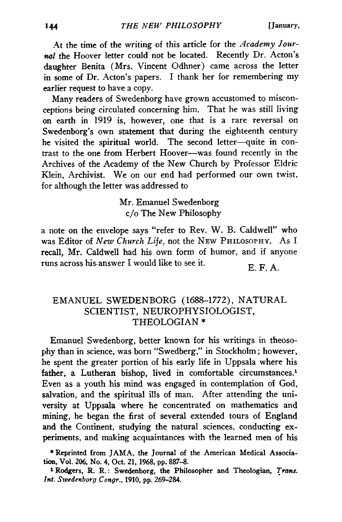At the time of the writing of this article for the *Academy Journal* the Hoover letter could not be located. Recently Dr. Acton's daughter Benita (Mrs. Vincent Odhner) came across the letter in some of Dr. Acton's papers. I thank her for remembering my earlier request to have a copy.

Many readers of Swedenborg have grown accustomed to misconceptions being circulated concerning him. That he was still living on earth in 1919 is, however, one that is a rare reversal on Swedenborg's own statement that during the eighteenth century he visited the spiritual world. The second letter— quite in contrast to the one from Herbert Hoover— was found recently in the Archives of the Academy of the New Church by Professor Eldric Klein, Archivist. We on our end had performed our own twist, for although the letter was addressed to

> Mr. Emanuel Swedenborg c /o The New Philosophy

a note on the envelope says "refer to Rev. W. B. Caldwell" who was Editor of New Church Life, not the NEW PHILOSOPHY. As I recall, Mr. Caldwell had his own form of humor, and if anyone runs across his answer I would like to see it. E. F. A.

## EMANUEL SWEDENBORG (1688-1772), NATURAL SCIENTIST, NEUROPHYSIOLOGIST, THEOLOGIAN<sup>\*</sup>

Emanuel Swedenborg, better known for his writings in theosophy than in science, was born "Swedberg," in Stockholm; however, he spent the greater portion of his early life in Uppsala where his father, a Lutheran bishop, lived in comfortable circumstances.<sup>1</sup> Even as a youth his mind was engaged in contemplation of God, salvation, and the spiritual ills of man. After attending the university at Uppsala where he concentrated on mathematics and mining, he began the first of several extended tours of England and the Continent, studying the natural sciences, conducting experiments, and making acquaintances with the learned men of his

\* Reprinted from JAMA, the Journal of the American Medical Associa**tion, Vol. 206, No. 4, Oct. 21, 1968, pp. 887-8.**

**1 Rodgers, R. R .: Swedenborg, the Philosopher and Theologian,** *Trans. Int. Swedenborg Congr.,* **1910, pp. 269-284.**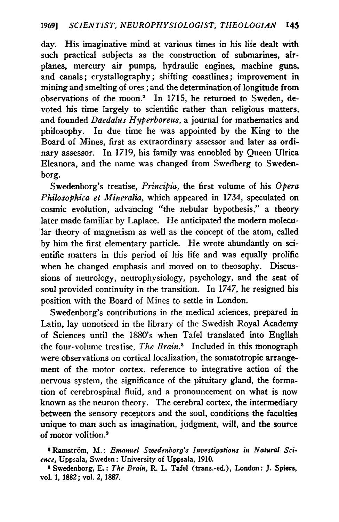day. His imaginative mind at various times in his life dealt with such practical subjects as the construction of submarines, airplanes, mercury air pumps, hydraulic engines, machine guns, and canals; crystallography; shifting coastlines; improvement in mining and smelting of ores; and the determination of longitude from observations of the moon.<sup>2</sup> In 1715, he returned to Sweden, devoted his time largely to scientific rather than religious matters, and founded *Daedalus Hyperboreus,* a journal for mathematics and philosophy. In due time he was appointed by the King to the Board of Mines, first as extraordinary assessor and later as ordinary assessor. In 1719, his family was ennobled by Queen Ulrica Eleanora, and the name was changed from Swedberg to Swedenborg.

Swedenborg's treatise, *Principia,* the first volume of his *Opera Philosophica et Mineralia,* which appeared in 1734, speculated on cosmic evolution, advancing "the nebular hypothesis," a theory later made familiar by Laplace. He anticipated the modern molecular theory of magnetism as well as the concept of the atom, called by him the first elementary particle. He wrote abundantly on scientific matters in this period of his life and was equally prolific when he changed emphasis and moved on to theosophy. Discussions of neurology, neurophysiology, psychology, and the seat of soul provided continuity in the transition. In 1747, he resigned his position with the Board of Mines to settle in London.

Swedenborg's contributions in the medical sciences, prepared in Latin, lay unnoticed in the library of the Swedish Royal Academy of Sciences until the 1880's when Tafel translated into English the four-volume treatise, *The Brain3* Included in this monograph were observations on cortical localization, the somatotropic arrangement of the motor cortex, reference to integrative action of the nervous system, the significance of the pituitary gland, the formation of cerebrospinal fluid, and a pronouncement on what is now known as the neuron theory. The cerebral cortex, the intermediary between the sensory receptors and the soul, conditions the faculties unique to man such as imagination, judgment, will, and the source of motor volition.3

<sup>2</sup> Ramström, M.: *Emanuel Swedenborg's Investigations in Natural Science,* **Uppsala, Sweden: University of Uppsala, 1910.**

**3 Swedenborg, E .**: *The Brain,* **R. L. Tafel (trans.-ed.), London: J. Spiers, vol. 1, 1882; vol. 2, 1887.**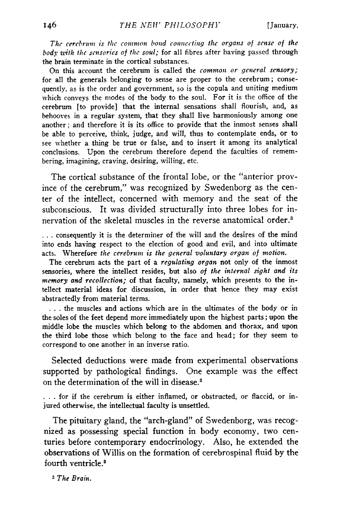*The cerebrum is the common bond connecting the organs of sense of the body with the sensories of the soul;* for all fibres after having passed through **the brain terminate in the cortical substances.**

On this account the cerebrum is called the *common or general sensory*; **for all the generals belonging to sense are proper to the cerebrum; consequently, as is the order and government, so is the copula and uniting medium which conveys the modes of the body to the soul. For it is the office of the cerebrum [to provide] that the internal sensations shall flourish, and, as behooves in a regular system, that they shall live harmoniously among one another ; and therefore it is its office to provide that the inmost senses shall be able to perceive, think, judge, and will, thus to contemplate ends, or to see whether a thing be true or false, and to insert it among its analytical conclusions. Upon the cerebrum therefore depend the faculties of remembering, imagining, craving, desiring, willing, etc.**

The cortical substance of the frontal lobe, or the "anterior province of the cerebrum," was recognized by Swedenborg as the center of the intellect, concerned with memory and the seat of the subconscious. It was divided structurally into three lobes for innervation of the skeletal muscles in the reverse anatomical order.<sup>3</sup>

**. . . consequently it is the determiner of the will and the desires of the mind into ends having respect to the election of good and evil, and into ultimate acts. Wherefore** *the cerebrum is the general voluntary organ of motion.*

**The cerebrum acts the part of a** *regulating organ* **not only of the inmost sensories, where the intellect resides, but also** *of the internal sight and its* memory and recollection; of that faculty, namely, which presents to the in**tellect material ideas for discussion, in order that hence they may exist abstractedly from material terms.**

**. . . the muscles and actions which are in the ultimates of the body or in the soles of the feet depend more immediately upon the highest parts; upon the middle lobe the muscles which belong to the abdomen and thorax, and upon the third lobe those which belong to the face and head; for they seem to correspond to one another in an inverse ratio.**

Selected deductions were made from experimental observations supported by pathological findings. One example was the effect on the determination of the will in disease.3

**. . . for if the cerebrum is either inflamed, or obstructed, or flaccid, or injured otherwise, the intellectual faculty is unsettled.**

The pituitary gland, the "arch-gland" of Swedenborg, was recognized as possessing special function in body economy, two centuries before contemporary endocrinology. Also, he extended the observations of Willis on the formation of cerebrospinal fluid by the fourth ventricle.3

3 *The Brain.*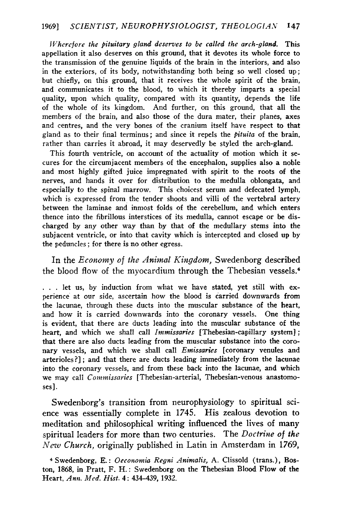*W h erefore the pituitary gland deserves to he called the arch-gland.* **This appellation it also deserves on this ground, that it devotes its whole force to the transmission of the genuine liquids of the brain in the interiors, and also in the exteriors, of its body, notwithstanding both being so well closed up; but chiefly, on this ground, that it receives the whole spirit of the brain, and communicates it to the blood, to which it thereby imparts a special quality, upon which quality, compared with its quantity, depends the life of the whole of its kingdom. And further, on this ground, that all the members of the brain, and also those of the dura mater, their planes, axes and centres, and the very bones of the cranium itself have respect to that gland as to their final terminus; and since it repels the** *pituita* **of the brain, rather than carries it abroad, it may deservedly be styled the arch-gland.**

**This fourth ventricle, on account of the actuality of motion which it secures for the circumjacent members of the encephalon, supplies also a noble and most highly gifted juice impregnated with spirit to the roots of the nerves, and hands it over for distribution to the medulla oblongata, and especially to the spinal marrow. This choicest serum and defecated lymph, which is expressed from the tender shoots and villi of the vertebral artery between the laminae and inmost folds of the cerebellum, and which enters thence into the fibrillous interstices of its medulla, cannot escape or be discharged by any other way than by that of the medullary stems into the subjacent ventricle, or into that cavity which is intercepted and closed up by the peduncles; for there is no other egress.**

In the *Economy of the Animal Kingdom,* Swedenborg described the blood flow of the myocardium through the Thebesian vessels.4

**. . . let us, by induction from what we have stated, yet still with experience at our side, ascertain how the blood is carried downwards from the lacunae, through these ducts into the muscular substance of the heart, and how it is carried downwards into the coronary vessels. One thing is evident, that there are ducts leading into the muscular substance of the** heart, and which we shall call *Immissaries* [Thebesian-capillary system]; **that there are also ducts leading from the muscular substance into the coronary vessels, and which we shall call** *Em issaries* **[coronary venules and arterioles?]; and that there are ducts leading immediately from the lacunae into the coronary vessels, and from these back into the lacunae, and which** we may call *Commissaries* [Thebesian-arterial, Thebesian-venous anastomo**ses].**

Swedenborg's transition from neurophysiology to spiritual science was essentially complete in 1745. His zealous devotion to meditation and philosophical writing influenced the lives of many spiritual leaders for more than two centuries. The *Doctrine of the New Church,* originally published in Latin in Amsterdam in 1769,

<sup>&</sup>lt;sup>4</sup> Swedenborg, E.: *Oeconomia Regni Animalis*, A. Clissold (trans.), Bos**ton, 1868, in Pratt, F. H . : Swedenborg on the Thebesian Blood Flow of the Heart,** *A nn. M ed . H ist. 4 :* **434-439, 1932.**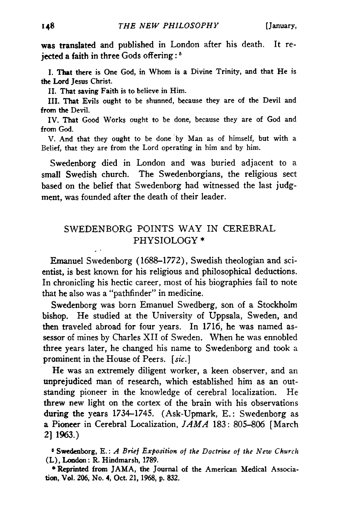was translated and published in London after his death. It rejected a faith in three Gods offering: 5

I. That there is One God, in Whom is a Divine Trinity, and that He is **the Lord Jesus Christ.**

**II. That saving Faith is to believe in Him.**

**III. That Evils ought to be shunned, because they are of the Devil and from the Devil.**

IV. That Good Works ought to be done, because they are of God and **from God.**

**V . And that they ought to be done by Man as of himself, but with a Belief, that they are from the Lord operating in him and by him.**

Swedenborg died in London and was buried adjacent to a small Swedish church. The Swedenborgians, the religious sect based on the belief that Swedenborg had witnessed the last judgment, was founded after the death of their leader.

## SWEDENBORG POINTS WAY IN CEREBRAL PHYSIOLOGY\*

Emanuel Swedenborg (1688-1772), Swedish theologian and scientist, is best known for his religious and philosophical deductions. In chronicling his hectic career, most of his biographies fail to note that he also was a " pathfinder" in medicine.

Swedenborg was born Emanuel Swedberg, son of a Stockholm bishop. He studied at the University of Uppsala, Sweden, and then traveled abroad for four years. In 1716, he was named assessor of mines by Charles XII of Sweden. When he was ennobled three years later, he changed his name to Swedenborg and took a prominent in the House of Peers. [sic.]

He was an extremely diligent worker, a keen observer, and an unprejudiced man of research, which established him as an outstanding pioneer in the knowledge of cerebral localization. He threw new light on the cortex of the brain with his observations during the years 1734-1745. (Ask-Upmark, E.: Swedenborg as a Pioneer in Cerebral Localization, *JAMA* 183: 805-806 [March 2] 1963.)

**5 Swedenborg, E .:** *A Brief Exposition of the Doctrine of the N ew Church* **( L ) , London: R. Hindmarsh, 1789.**

\* Reprinted from JAMA, the Journal of the American Medical Associa**tion, Vol. 206, No. 4, Oct. 21, 1968, p. 832.**